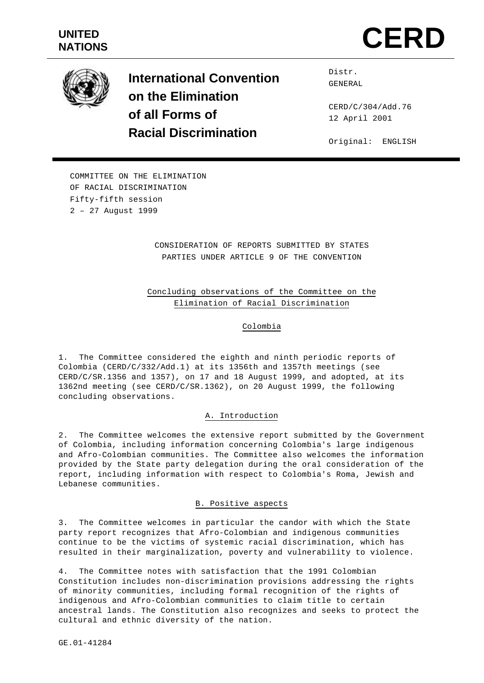



**International Convention on the Elimination of all Forms of Racial Discrimination**

Distr. GENERAL

CERD/C/304/Add.76 12 April 2001

Original: ENGLISH

COMMITTEE ON THE ELIMINATION OF RACIAL DISCRIMINATION Fifty-fifth session 2 – 27 August 1999

# CONSIDERATION OF REPORTS SUBMITTED BY STATES PARTIES UNDER ARTICLE 9 OF THE CONVENTION

# Concluding observations of the Committee on the Elimination of Racial Discrimination

# Colombia

1. The Committee considered the eighth and ninth periodic reports of Colombia (CERD/C/332/Add.1) at its 1356th and 1357th meetings (see CERD/C/SR.1356 and 1357), on 17 and 18 August 1999, and adopted, at its 1362nd meeting (see CERD/C/SR.1362), on 20 August 1999, the following concluding observations.

### A. Introduction

2. The Committee welcomes the extensive report submitted by the Government of Colombia, including information concerning Colombia's large indigenous and Afro-Colombian communities. The Committee also welcomes the information provided by the State party delegation during the oral consideration of the report, including information with respect to Colombia's Roma, Jewish and Lebanese communities.

### B. Positive aspects

3. The Committee welcomes in particular the candor with which the State party report recognizes that Afro-Colombian and indigenous communities continue to be the victims of systemic racial discrimination, which has resulted in their marginalization, poverty and vulnerability to violence.

4. The Committee notes with satisfaction that the 1991 Colombian Constitution includes non-discrimination provisions addressing the rights of minority communities, including formal recognition of the rights of indigenous and Afro-Colombian communities to claim title to certain ancestral lands. The Constitution also recognizes and seeks to protect the cultural and ethnic diversity of the nation.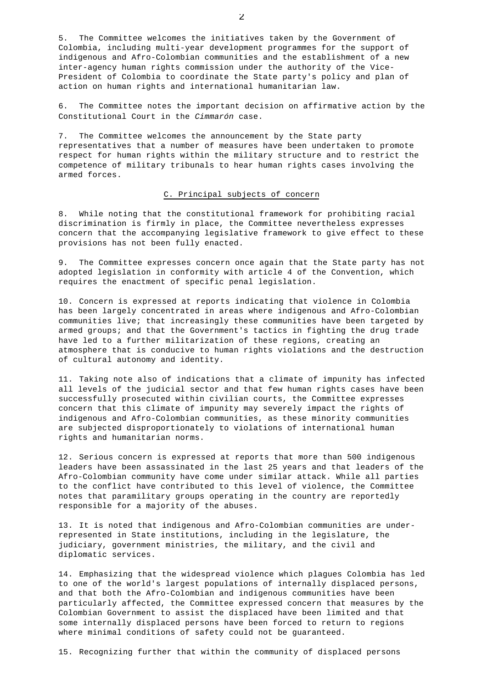5. The Committee welcomes the initiatives taken by the Government of Colombia, including multi-year development programmes for the support of indigenous and Afro-Colombian communities and the establishment of a new inter-agency human rights commission under the authority of the Vice-President of Colombia to coordinate the State party's policy and plan of action on human rights and international humanitarian law.

6. The Committee notes the important decision on affirmative action by the Constitutional Court in the *Cimmarón* case.

7. The Committee welcomes the announcement by the State party representatives that a number of measures have been undertaken to promote respect for human rights within the military structure and to restrict the competence of military tribunals to hear human rights cases involving the armed forces.

### C. Principal subjects of concern

8. While noting that the constitutional framework for prohibiting racial discrimination is firmly in place, the Committee nevertheless expresses concern that the accompanying legislative framework to give effect to these provisions has not been fully enacted.

9. The Committee expresses concern once again that the State party has not adopted legislation in conformity with article 4 of the Convention, which requires the enactment of specific penal legislation.

10. Concern is expressed at reports indicating that violence in Colombia has been largely concentrated in areas where indigenous and Afro-Colombian communities live; that increasingly these communities have been targeted by armed groups; and that the Government's tactics in fighting the drug trade have led to a further militarization of these regions, creating an atmosphere that is conducive to human rights violations and the destruction of cultural autonomy and identity.

11. Taking note also of indications that a climate of impunity has infected all levels of the judicial sector and that few human rights cases have been successfully prosecuted within civilian courts, the Committee expresses concern that this climate of impunity may severely impact the rights of indigenous and Afro-Colombian communities, as these minority communities are subjected disproportionately to violations of international human rights and humanitarian norms.

12. Serious concern is expressed at reports that more than 500 indigenous leaders have been assassinated in the last 25 years and that leaders of the Afro-Colombian community have come under similar attack. While all parties to the conflict have contributed to this level of violence, the Committee notes that paramilitary groups operating in the country are reportedly responsible for a majority of the abuses.

13. It is noted that indigenous and Afro-Colombian communities are underrepresented in State institutions, including in the legislature, the judiciary, government ministries, the military, and the civil and diplomatic services.

14. Emphasizing that the widespread violence which plagues Colombia has led to one of the world's largest populations of internally displaced persons, and that both the Afro-Colombian and indigenous communities have been particularly affected, the Committee expressed concern that measures by the Colombian Government to assist the displaced have been limited and that some internally displaced persons have been forced to return to regions where minimal conditions of safety could not be guaranteed.

15. Recognizing further that within the community of displaced persons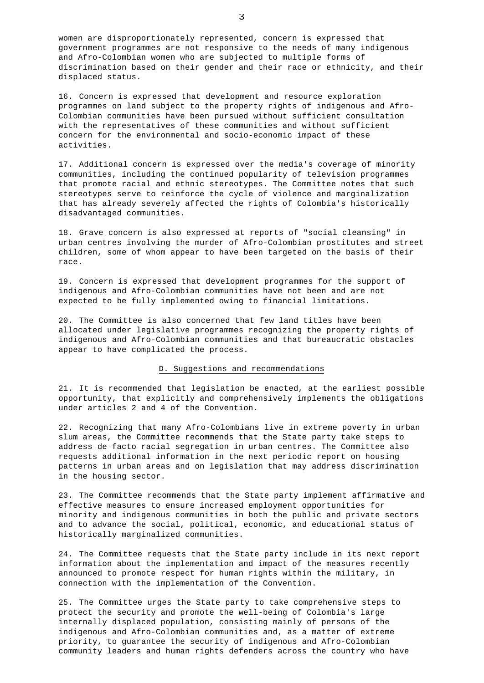women are disproportionately represented, concern is expressed that government programmes are not responsive to the needs of many indigenous and Afro-Colombian women who are subjected to multiple forms of discrimination based on their gender and their race or ethnicity, and their displaced status.

16. Concern is expressed that development and resource exploration programmes on land subject to the property rights of indigenous and Afro-Colombian communities have been pursued without sufficient consultation with the representatives of these communities and without sufficient concern for the environmental and socio-economic impact of these activities.

17. Additional concern is expressed over the media's coverage of minority communities, including the continued popularity of television programmes that promote racial and ethnic stereotypes. The Committee notes that such stereotypes serve to reinforce the cycle of violence and marginalization that has already severely affected the rights of Colombia's historically disadvantaged communities.

18. Grave concern is also expressed at reports of "social cleansing" in urban centres involving the murder of Afro-Colombian prostitutes and street children, some of whom appear to have been targeted on the basis of their race.

19. Concern is expressed that development programmes for the support of indigenous and Afro-Colombian communities have not been and are not expected to be fully implemented owing to financial limitations.

20. The Committee is also concerned that few land titles have been allocated under legislative programmes recognizing the property rights of indigenous and Afro-Colombian communities and that bureaucratic obstacles appear to have complicated the process.

### D. Suggestions and recommendations

21. It is recommended that legislation be enacted, at the earliest possible opportunity, that explicitly and comprehensively implements the obligations under articles 2 and 4 of the Convention.

22. Recognizing that many Afro-Colombians live in extreme poverty in urban slum areas, the Committee recommends that the State party take steps to address de facto racial segregation in urban centres. The Committee also requests additional information in the next periodic report on housing patterns in urban areas and on legislation that may address discrimination in the housing sector.

23. The Committee recommends that the State party implement affirmative and effective measures to ensure increased employment opportunities for minority and indigenous communities in both the public and private sectors and to advance the social, political, economic, and educational status of historically marginalized communities.

24. The Committee requests that the State party include in its next report information about the implementation and impact of the measures recently announced to promote respect for human rights within the military, in connection with the implementation of the Convention.

25. The Committee urges the State party to take comprehensive steps to protect the security and promote the well-being of Colombia's large internally displaced population, consisting mainly of persons of the indigenous and Afro-Colombian communities and, as a matter of extreme priority, to guarantee the security of indigenous and Afro-Colombian community leaders and human rights defenders across the country who have

3